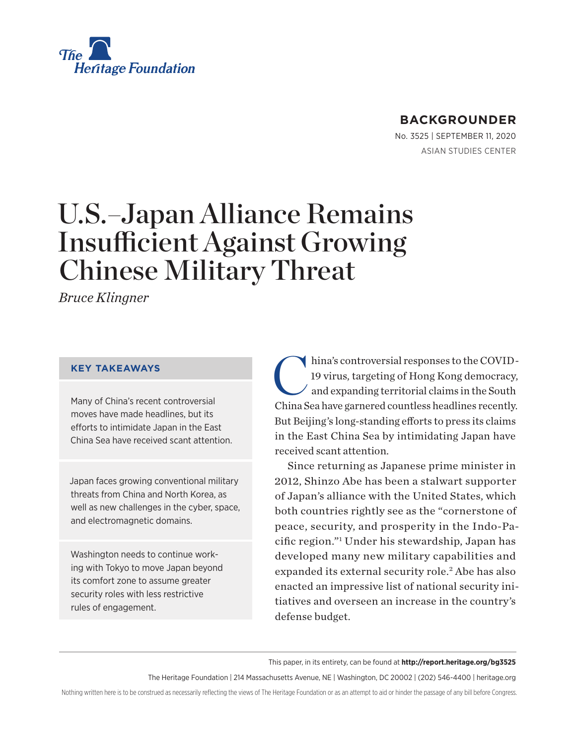

## **BACKGROUNDER**

No. 3525 | September 11, 2020 ASIAN STUDIES CENTER

# U.S.–Japan Alliance Remains Insufficient Against Growing Chinese Military Threat

*Bruce Klingner*

#### **KEY TAKEAWAYS**

Many of China's recent controversial moves have made headlines, but its efforts to intimidate Japan in the East China Sea have received scant attention.

Japan faces growing conventional military threats from China and North Korea, as well as new challenges in the cyber, space, and electromagnetic domains.

Washington needs to continue working with Tokyo to move Japan beyond its comfort zone to assume greater security roles with less restrictive rules of engagement.

hina's controversial responses to the COVID-19 virus, targeting of Hong Kong democracy, and expanding territorial claims in the South China Sea have garnered countless headlines recently. But Beijing's long-standing efforts to press its claims in the East China Sea by intimidating Japan have received scant attention.

Since returning as Japanese prime minister in 2012, Shinzo Abe has been a stalwart supporter of Japan's alliance with the United States, which both countries rightly see as the "cornerstone of peace, security, and prosperity in the Indo-Pacific region."1 Under his stewardship, Japan has developed many new military capabilities and expanded its external security role.<sup>2</sup> Abe has also enacted an impressive list of national security initiatives and overseen an increase in the country's defense budget.

This paper, in its entirety, can be found at **http://report.heritage.org/bg3525**

The Heritage Foundation | 214 Massachusetts Avenue, NE | Washington, DC 20002 | (202) 546-4400 | heritage.org

Nothing written here is to be construed as necessarily reflecting the views of The Heritage Foundation or as an attempt to aid or hinder the passage of any bill before Congress.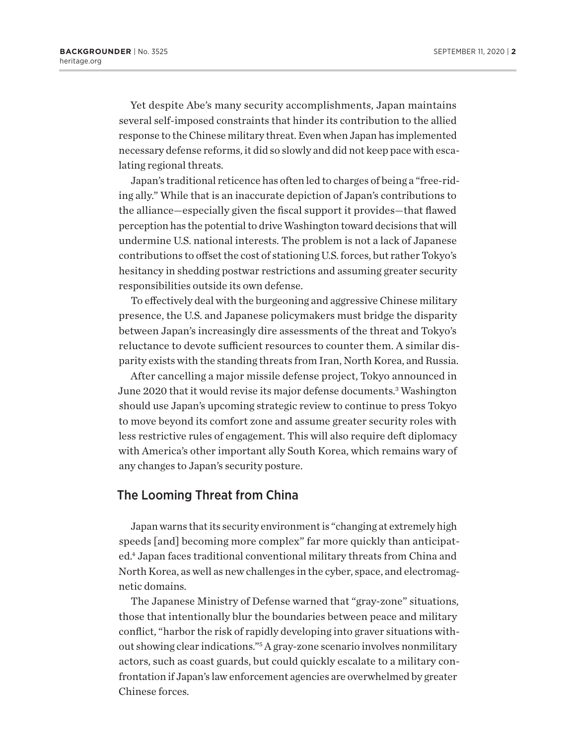Yet despite Abe's many security accomplishments, Japan maintains several self-imposed constraints that hinder its contribution to the allied response to the Chinese military threat. Even when Japan has implemented necessary defense reforms, it did so slowly and did not keep pace with escalating regional threats.

Japan's traditional reticence has often led to charges of being a "free-riding ally." While that is an inaccurate depiction of Japan's contributions to the alliance—especially given the fiscal support it provides—that flawed perception has the potential to drive Washington toward decisions that will undermine U.S. national interests. The problem is not a lack of Japanese contributions to offset the cost of stationing U.S. forces, but rather Tokyo's hesitancy in shedding postwar restrictions and assuming greater security responsibilities outside its own defense.

To effectively deal with the burgeoning and aggressive Chinese military presence, the U.S. and Japanese policymakers must bridge the disparity between Japan's increasingly dire assessments of the threat and Tokyo's reluctance to devote sufficient resources to counter them. A similar disparity exists with the standing threats from Iran, North Korea, and Russia.

After cancelling a major missile defense project, Tokyo announced in June 2020 that it would revise its major defense documents.<sup>3</sup> Washington should use Japan's upcoming strategic review to continue to press Tokyo to move beyond its comfort zone and assume greater security roles with less restrictive rules of engagement. This will also require deft diplomacy with America's other important ally South Korea, which remains wary of any changes to Japan's security posture.

## The Looming Threat from China

Japan warns that its security environment is "changing at extremely high speeds [and] becoming more complex" far more quickly than anticipated.4 Japan faces traditional conventional military threats from China and North Korea, as well as new challenges in the cyber, space, and electromagnetic domains.

The Japanese Ministry of Defense warned that "gray-zone" situations, those that intentionally blur the boundaries between peace and military conflict, "harbor the risk of rapidly developing into graver situations without showing clear indications."<sup>5</sup> A gray-zone scenario involves nonmilitary actors, such as coast guards, but could quickly escalate to a military confrontation if Japan's law enforcement agencies are overwhelmed by greater Chinese forces.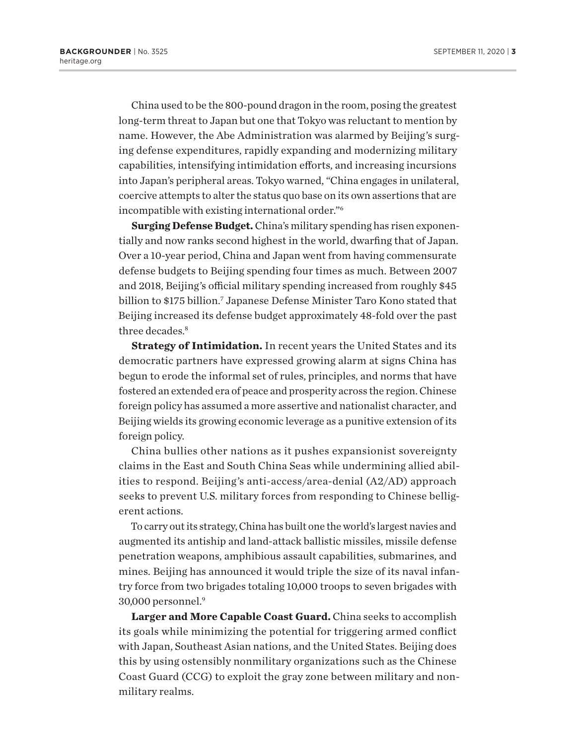China used to be the 800-pound dragon in the room, posing the greatest long-term threat to Japan but one that Tokyo was reluctant to mention by name. However, the Abe Administration was alarmed by Beijing's surging defense expenditures, rapidly expanding and modernizing military capabilities, intensifying intimidation efforts, and increasing incursions into Japan's peripheral areas. Tokyo warned, "China engages in unilateral, coercive attempts to alter the status quo base on its own assertions that are incompatible with existing international order."6

**Surging Defense Budget.**China's military spending has risen exponentially and now ranks second highest in the world, dwarfing that of Japan. Over a 10-year period, China and Japan went from having commensurate defense budgets to Beijing spending four times as much. Between 2007 and 2018, Beijing's official military spending increased from roughly \$45 billion to \$175 billion.<sup>7</sup> Japanese Defense Minister Taro Kono stated that Beijing increased its defense budget approximately 48-fold over the past three decades.<sup>8</sup>

**Strategy of Intimidation.** In recent years the United States and its democratic partners have expressed growing alarm at signs China has begun to erode the informal set of rules, principles, and norms that have fostered an extended era of peace and prosperity across the region.Chinese foreign policy has assumed a more assertive and nationalist character, and Beijing wields its growing economic leverage as a punitive extension of its foreign policy.

China bullies other nations as it pushes expansionist sovereignty claims in the East and South China Seas while undermining allied abilities to respond. Beijing's anti-access/area-denial (A2/AD) approach seeks to prevent U.S. military forces from responding to Chinese belligerent actions.

To carry out its strategy, China has built one the world's largest navies and augmented its antiship and land-attack ballistic missiles, missile defense penetration weapons, amphibious assault capabilities, submarines, and mines. Beijing has announced it would triple the size of its naval infantry force from two brigades totaling 10,000 troops to seven brigades with 30,000 personnel.9

**Larger and More Capable Coast Guard.** China seeks to accomplish its goals while minimizing the potential for triggering armed conflict with Japan, Southeast Asian nations, and the United States. Beijing does this by using ostensibly nonmilitary organizations such as the Chinese Coast Guard (CCG) to exploit the gray zone between military and nonmilitary realms.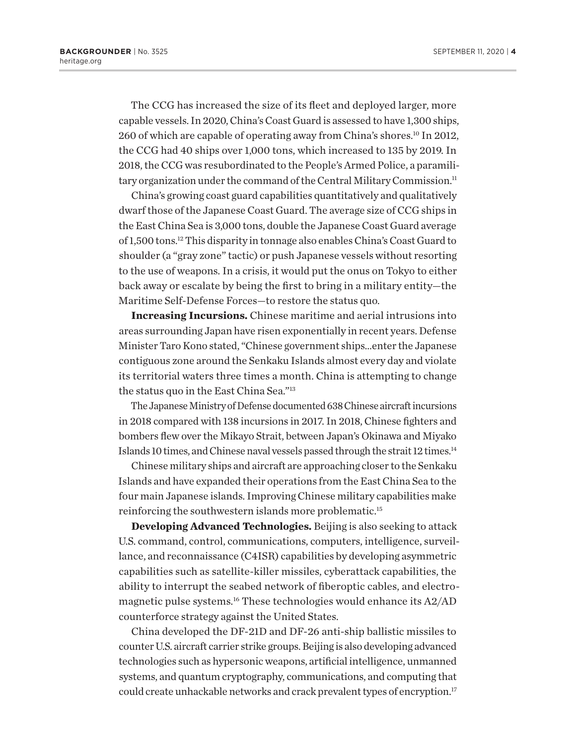The CCG has increased the size of its fleet and deployed larger, more capable vessels. In 2020, China's Coast Guard is assessed to have 1,300 ships, 260 of which are capable of operating away from China's shores.<sup>10</sup> In 2012, the CCG had 40 ships over 1,000 tons, which increased to 135 by 2019. In 2018, the CCG was resubordinated to the People's Armed Police, a paramilitary organization under the command of the Central Military Commission.<sup>11</sup>

China's growing coast guard capabilities quantitatively and qualitatively dwarf those of the Japanese Coast Guard. The average size of CCG ships in the East China Sea is 3,000 tons, double the Japanese Coast Guard average of 1,500 tons.12 This disparity in tonnage also enables China's Coast Guard to shoulder (a "gray zone" tactic) or push Japanese vessels without resorting to the use of weapons. In a crisis, it would put the onus on Tokyo to either back away or escalate by being the first to bring in a military entity—the Maritime Self-Defense Forces—to restore the status quo.

**Increasing Incursions.** Chinese maritime and aerial intrusions into areas surrounding Japan have risen exponentially in recent years. Defense Minister Taro Kono stated, "Chinese government ships…enter the Japanese contiguous zone around the Senkaku Islands almost every day and violate its territorial waters three times a month. China is attempting to change the status quo in the East China Sea."13

The Japanese Ministry of Defense documented 638 Chinese aircraft incursions in 2018 compared with 138 incursions in 2017. In 2018, Chinese fighters and bombers flew over the Mikayo Strait, between Japan's Okinawa and Miyako Islands 10 times, and Chinese naval vessels passed through the strait 12 times.<sup>14</sup>

Chinese military ships and aircraft are approaching closer to the Senkaku Islands and have expanded their operations from the East China Sea to the four main Japanese islands. Improving Chinese military capabilities make reinforcing the southwestern islands more problematic.15

**Developing Advanced Technologies.** Beijing is also seeking to attack U.S. command, control, communications, computers, intelligence, surveillance, and reconnaissance (C4ISR) capabilities by developing asymmetric capabilities such as satellite-killer missiles, cyberattack capabilities, the ability to interrupt the seabed network of fiberoptic cables, and electromagnetic pulse systems.16 These technologies would enhance its A2/AD counterforce strategy against the United States.

China developed the DF-21D and DF-26 anti-ship ballistic missiles to counter U.S. aircraft carrier strike groups. Beijing is also developing advanced technologies such as hypersonic weapons, artificial intelligence, unmanned systems, and quantum cryptography, communications, and computing that could create unhackable networks and crack prevalent types of encryption.<sup>17</sup>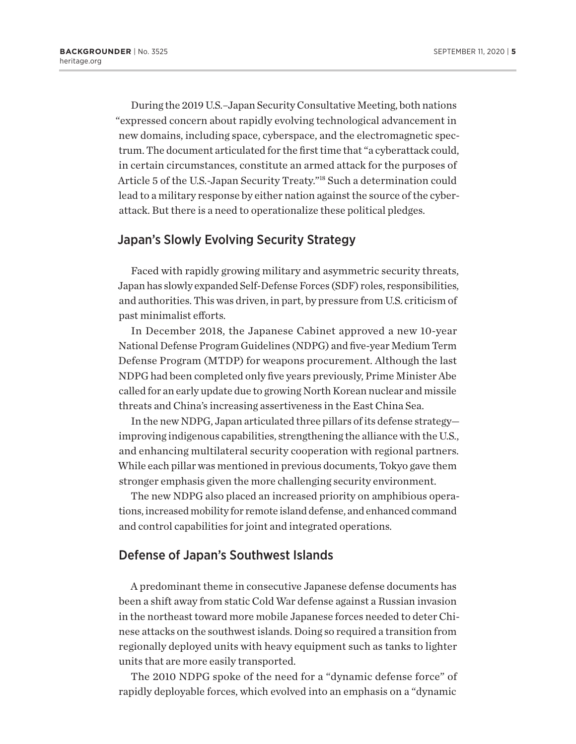During the 2019 U.S.–Japan Security Consultative Meeting, both nations "expressed concern about rapidly evolving technological advancement in new domains, including space, cyberspace, and the electromagnetic spectrum. The document articulated for the first time that "a cyberattack could, in certain circumstances, constitute an armed attack for the purposes of Article 5 of the U.S.-Japan Security Treaty."18 Such a determination could lead to a military response by either nation against the source of the cyberattack. But there is a need to operationalize these political pledges.

## Japan's Slowly Evolving Security Strategy

Faced with rapidly growing military and asymmetric security threats, Japan has slowly expanded Self-Defense Forces (SDF) roles, responsibilities, and authorities. This was driven, in part, by pressure from U.S. criticism of past minimalist efforts.

In December 2018, the Japanese Cabinet approved a new 10-year National Defense Program Guidelines (NDPG) and five-year Medium Term Defense Program (MTDP) for weapons procurement. Although the last NDPG had been completed only five years previously, Prime Minister Abe called for an early update due to growing North Korean nuclear and missile threats and China's increasing assertiveness in the East China Sea.

In the new NDPG, Japan articulated three pillars of its defense strategy improving indigenous capabilities, strengthening the alliance with the U.S., and enhancing multilateral security cooperation with regional partners. While each pillar was mentioned in previous documents, Tokyo gave them stronger emphasis given the more challenging security environment.

The new NDPG also placed an increased priority on amphibious operations, increased mobility for remote island defense, and enhanced command and control capabilities for joint and integrated operations.

## Defense of Japan's Southwest Islands

A predominant theme in consecutive Japanese defense documents has been a shift away from static Cold War defense against a Russian invasion in the northeast toward more mobile Japanese forces needed to deter Chinese attacks on the southwest islands. Doing so required a transition from regionally deployed units with heavy equipment such as tanks to lighter units that are more easily transported.

The 2010 NDPG spoke of the need for a "dynamic defense force" of rapidly deployable forces, which evolved into an emphasis on a "dynamic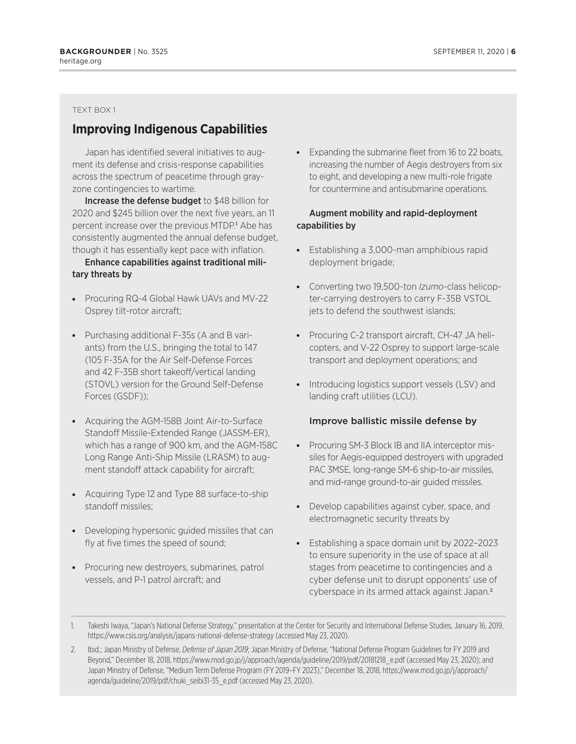#### TEXT BOX 1

## **Improving Indigenous Capabilities**

Japan has identified several initiatives to augment its defense and crisis-response capabilities across the spectrum of peacetime through grayzone contingencies to wartime.

Increase the defense budget to \$48 billion for 2020 and \$245 billion over the next five years, an 11 percent increase over the previous MTDP.<sup>1</sup> Abe has consistently augmented the annual defense budget, though it has essentially kept pace with inflation.

#### Enhance capabilities against traditional military threats by

- Procuring RQ-4 Global Hawk UAVs and MV-22 Osprey tilt-rotor aircraft;
- Purchasing additional F-35s (A and B variants) from the U.S., bringing the total to 147 (105 F-35A for the Air Self-Defense Forces and 42 F-35B short takeoff/vertical landing (STOVL) version for the Ground Self-Defense Forces (GSDF));
- Acquiring the AGM-158B Joint Air-to-Surface Standoff Missile-Extended Range (JASSM-ER), which has a range of 900 km, and the AGM-158C Long Range Anti-Ship Missile (LRASM) to augment standoff attack capability for aircraft;
- Acquiring Type 12 and Type 88 surface-to-ship standoff missiles;
- Developing hypersonic guided missiles that can fly at five times the speed of sound;
- Procuring new destroyers, submarines, patrol vessels, and P-1 patrol aircraft; and

• Expanding the submarine fleet from 16 to 22 boats, increasing the number of Aegis destroyers from six to eight, and developing a new multi-role frigate for countermine and antisubmarine operations.

#### Augment mobility and rapid-deployment capabilities by

- Establishing a 3,000-man amphibious rapid deployment brigade;
- **-** Converting two 19,500-ton *Izumo*-class helicopter-carrying destroyers to carry F-35B VSTOL jets to defend the southwest islands;
- Procuring C-2 transport aircraft, CH-47 JA helicopters, and V-22 Osprey to support large-scale transport and deployment operations; and
- Introducing logistics support vessels (LSV) and landing craft utilities (LCU).

#### Improve ballistic missile defense by

- Procuring SM-3 Block IB and IIA interceptor missiles for Aegis-equipped destroyers with upgraded PAC 3MSE, long-range SM-6 ship-to-air missiles, and mid-range ground-to-air guided missiles.
- Develop capabilities against cyber, space, and electromagnetic security threats by
- Establishing a space domain unit by 2022-2023 to ensure superiority in the use of space at all stages from peacetime to contingencies and a cyber defense unit to disrupt opponents' use of cyberspace in its armed attack against Japan.<sup>2</sup>
- 1. Takeshi Iwaya, "Japan's National Defense Strategy," presentation at the Center for Security and International Defense Studies, January 16, 2019, https://www.csis.org/analysis/japans-national-defense-strategy (accessed May 23, 2020).
- 2. Ibid.; Japan Ministry of Defense, *Defense of Japan 2019*; Japan Ministry of Defense, "National Defense Program Guidelines for FY 2019 and Beyond," December 18, 2018, https://www.mod.go.jp/j/approach/agenda/guideline/2019/pdf/20181218\_e.pdf (accessed May 23, 2020); and Japan Ministry of Defense, "Medium Term Defense Program (FY 2019–FY 2023)," December 18, 2018, https://www.mod.go.jp/j/approach/ agenda/guideline/2019/pdf/chuki\_seibi31-35\_e.pdf (accessed May 23, 2020).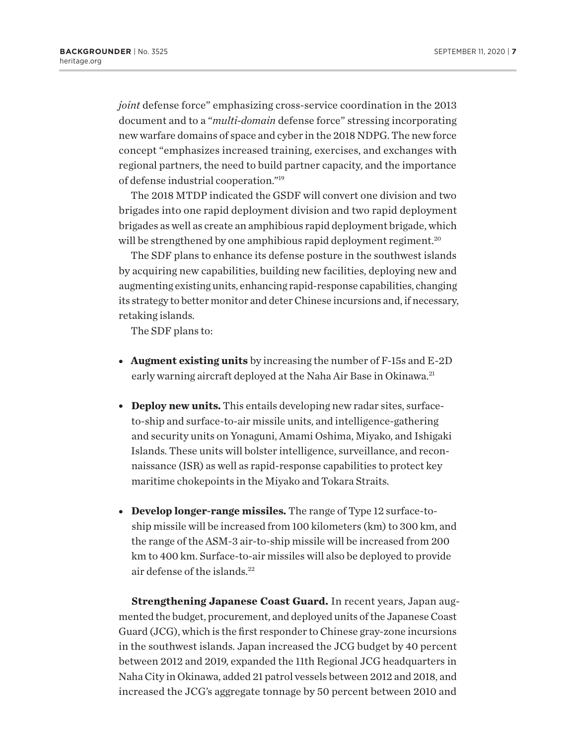*joint* defense force" emphasizing cross-service coordination in the 2013 document and to a "*multi-domain* defense force" stressing incorporating new warfare domains of space and cyber in the 2018 NDPG. The new force concept "emphasizes increased training, exercises, and exchanges with regional partners, the need to build partner capacity, and the importance of defense industrial cooperation."19

The 2018 MTDP indicated the GSDF will convert one division and two brigades into one rapid deployment division and two rapid deployment brigades as well as create an amphibious rapid deployment brigade, which will be strengthened by one amphibious rapid deployment regiment.<sup>20</sup>

The SDF plans to enhance its defense posture in the southwest islands by acquiring new capabilities, building new facilities, deploying new and augmenting existing units, enhancing rapid-response capabilities, changing its strategy to better monitor and deter Chinese incursions and, if necessary, retaking islands.

The SDF plans to:

- <sup>l</sup> **Augment existing units** by increasing the number of F-15s and E-2D early warning aircraft deployed at the Naha Air Base in Okinawa.<sup>21</sup>
- **Deploy new units.** This entails developing new radar sites, surfaceto-ship and surface-to-air missile units, and intelligence-gathering and security units on Yonaguni, Amami Oshima, Miyako, and Ishigaki Islands. These units will bolster intelligence, surveillance, and reconnaissance (ISR) as well as rapid-response capabilities to protect key maritime chokepoints in the Miyako and Tokara Straits.
- **Develop longer-range missiles.** The range of Type 12 surface-toship missile will be increased from 100 kilometers (km) to 300 km, and the range of the ASM-3 air-to-ship missile will be increased from 200 km to 400 km. Surface-to-air missiles will also be deployed to provide air defense of the islands.22

**Strengthening Japanese Coast Guard.** In recent years, Japan augmented the budget, procurement, and deployed units of the Japanese Coast Guard (JCG), which is the first responder to Chinese gray-zone incursions in the southwest islands. Japan increased the JCG budget by 40 percent between 2012 and 2019, expanded the 11th Regional JCG headquarters in Naha City in Okinawa, added 21 patrol vessels between 2012 and 2018, and increased the JCG's aggregate tonnage by 50 percent between 2010 and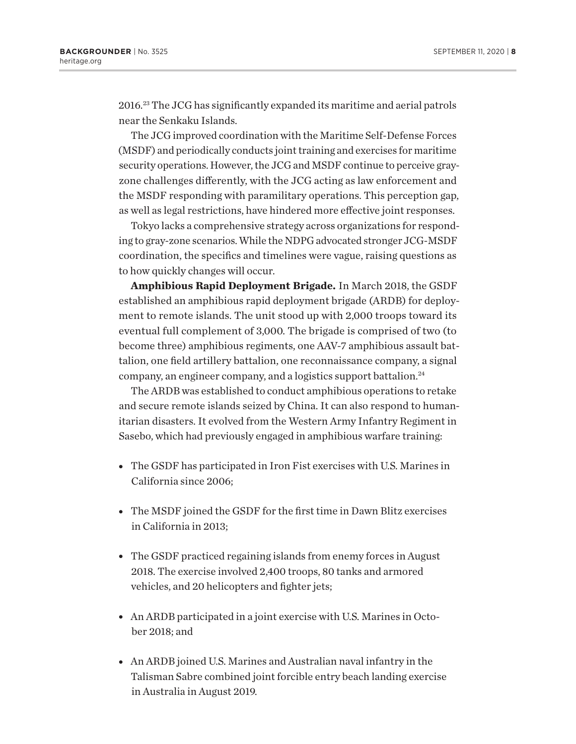2016.23 The JCG has significantly expanded its maritime and aerial patrols near the Senkaku Islands.

The JCG improved coordination with the Maritime Self-Defense Forces (MSDF) and periodically conducts joint training and exercises for maritime security operations. However, the JCG and MSDF continue to perceive grayzone challenges differently, with the JCG acting as law enforcement and the MSDF responding with paramilitary operations. This perception gap, as well as legal restrictions, have hindered more effective joint responses.

Tokyo lacks a comprehensive strategy across organizations for responding to gray-zone scenarios. While the NDPG advocated stronger JCG-MSDF coordination, the specifics and timelines were vague, raising questions as to how quickly changes will occur.

**Amphibious Rapid Deployment Brigade.** In March 2018, the GSDF established an amphibious rapid deployment brigade (ARDB) for deployment to remote islands. The unit stood up with 2,000 troops toward its eventual full complement of 3,000. The brigade is comprised of two (to become three) amphibious regiments, one AAV-7 amphibious assault battalion, one field artillery battalion, one reconnaissance company, a signal company, an engineer company, and a logistics support battalion.24

The ARDB was established to conduct amphibious operations to retake and secure remote islands seized by China. It can also respond to humanitarian disasters. It evolved from the Western Army Infantry Regiment in Sasebo, which had previously engaged in amphibious warfare training:

- The GSDF has participated in Iron Fist exercises with U.S. Marines in California since 2006;
- The MSDF joined the GSDF for the first time in Dawn Blitz exercises in California in 2013;
- The GSDF practiced regaining islands from enemy forces in August 2018. The exercise involved 2,400 troops, 80 tanks and armored vehicles, and 20 helicopters and fighter jets;
- An ARDB participated in a joint exercise with U.S. Marines in October 2018; and
- An ARDB joined U.S. Marines and Australian naval infantry in the Talisman Sabre combined joint forcible entry beach landing exercise in Australia in August 2019.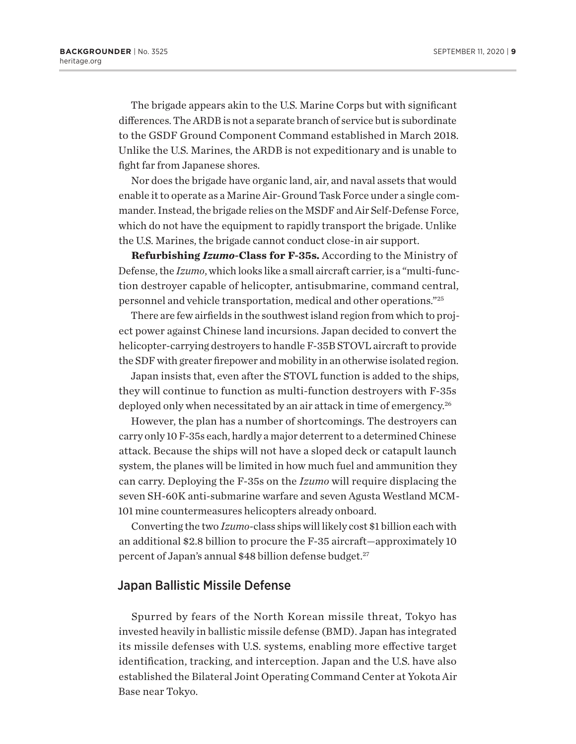The brigade appears akin to the U.S. Marine Corps but with significant differences. The ARDB is not a separate branch of service but is subordinate to the GSDF Ground Component Command established in March 2018. Unlike the U.S. Marines, the ARDB is not expeditionary and is unable to fight far from Japanese shores.

Nor does the brigade have organic land, air, and naval assets that would enable it to operate as a Marine Air-Ground Task Force under a single commander. Instead, the brigade relies on the MSDF and Air Self-Defense Force, which do not have the equipment to rapidly transport the brigade. Unlike the U.S. Marines, the brigade cannot conduct close-in air support.

**Refurbishing** *Izumo***-Class for F-35s.** According to the Ministry of Defense, the *Izumo*, which looks like a small aircraft carrier, is a "multi-function destroyer capable of helicopter, antisubmarine, command central, personnel and vehicle transportation, medical and other operations."25

There are few airfields in the southwest island region from which to project power against Chinese land incursions. Japan decided to convert the helicopter-carrying destroyers to handle F-35B STOVL aircraft to provide the SDF with greater firepower and mobility in an otherwise isolated region.

Japan insists that, even after the STOVL function is added to the ships, they will continue to function as multi-function destroyers with F-35s deployed only when necessitated by an air attack in time of emergency.<sup>26</sup>

However, the plan has a number of shortcomings. The destroyers can carry only 10 F-35s each, hardly a major deterrent to a determined Chinese attack. Because the ships will not have a sloped deck or catapult launch system, the planes will be limited in how much fuel and ammunition they can carry. Deploying the F-35s on the *Izumo* will require displacing the seven SH-60K anti-submarine warfare and seven Agusta Westland MCM-101 mine countermeasures helicopters already onboard.

Converting the two *Izumo*-class ships will likely cost \$1 billion each with an additional \$2.8 billion to procure the F-35 aircraft—approximately 10 percent of Japan's annual \$48 billion defense budget.<sup>27</sup>

## Japan Ballistic Missile Defense

Spurred by fears of the North Korean missile threat, Tokyo has invested heavily in ballistic missile defense (BMD). Japan has integrated its missile defenses with U.S. systems, enabling more effective target identification, tracking, and interception. Japan and the U.S. have also established the Bilateral Joint Operating Command Center at Yokota Air Base near Tokyo.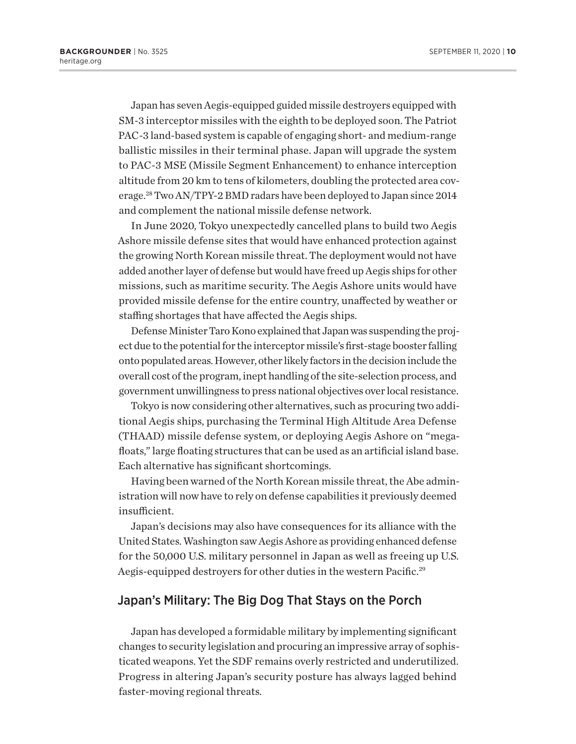Japan has seven Aegis-equipped guided missile destroyers equipped with SM-3 interceptor missiles with the eighth to be deployed soon. The Patriot PAC-3 land-based system is capable of engaging short- and medium-range ballistic missiles in their terminal phase. Japan will upgrade the system to PAC-3 MSE (Missile Segment Enhancement) to enhance interception altitude from 20 km to tens of kilometers, doubling the protected area coverage.28 Two AN/TPY-2 BMD radars have been deployed to Japan since 2014 and complement the national missile defense network.

In June 2020, Tokyo unexpectedly cancelled plans to build two Aegis Ashore missile defense sites that would have enhanced protection against the growing North Korean missile threat. The deployment would not have added another layer of defense but would have freed up Aegis ships for other missions, such as maritime security. The Aegis Ashore units would have provided missile defense for the entire country, unaffected by weather or staffing shortages that have affected the Aegis ships.

Defense Minister Taro Kono explained that Japan was suspending the project due to the potential for the interceptor missile's first-stage booster falling onto populated areas. However, other likely factors in the decision include the overall cost of the program, inept handling of the site-selection process, and government unwillingness to press national objectives over local resistance.

Tokyo is now considering other alternatives, such as procuring two additional Aegis ships, purchasing the Terminal High Altitude Area Defense (THAAD) missile defense system, or deploying Aegis Ashore on "megafloats," large floating structures that can be used as an artificial island base. Each alternative has significant shortcomings.

Having been warned of the North Korean missile threat, the Abe administration will now have to rely on defense capabilities it previously deemed insufficient.

Japan's decisions may also have consequences for its alliance with the United States. Washington saw Aegis Ashore as providing enhanced defense for the 50,000 U.S. military personnel in Japan as well as freeing up U.S. Aegis-equipped destroyers for other duties in the western Pacific.<sup>29</sup>

## Japan's Military: The Big Dog That Stays on the Porch

Japan has developed a formidable military by implementing significant changes to security legislation and procuring an impressive array of sophisticated weapons. Yet the SDF remains overly restricted and underutilized. Progress in altering Japan's security posture has always lagged behind faster-moving regional threats.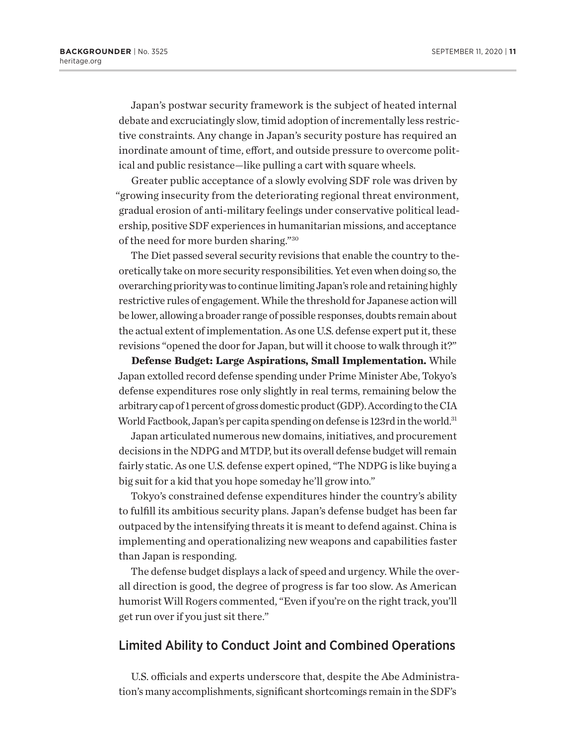Japan's postwar security framework is the subject of heated internal debate and excruciatingly slow, timid adoption of incrementally less restrictive constraints. Any change in Japan's security posture has required an inordinate amount of time, effort, and outside pressure to overcome political and public resistance—like pulling a cart with square wheels.

Greater public acceptance of a slowly evolving SDF role was driven by "growing insecurity from the deteriorating regional threat environment, gradual erosion of anti-military feelings under conservative political leadership, positive SDF experiences in humanitarian missions, and acceptance of the need for more burden sharing."30

The Diet passed several security revisions that enable the country to theoretically take on more security responsibilities. Yet even when doing so, the overarching priority was to continue limiting Japan's role and retaining highly restrictive rules of engagement. While the threshold for Japanese action will be lower, allowing a broader range of possible responses, doubts remain about the actual extent of implementation. As one U.S. defense expert put it, these revisions "opened the door for Japan, but will it choose to walk through it?"

**Defense Budget: Large Aspirations, Small Implementation.** While Japan extolled record defense spending under Prime Minister Abe, Tokyo's defense expenditures rose only slightly in real terms, remaining below the arbitrary cap of 1 percent of gross domestic product (GDP). According to the CIA World Factbook, Japan's per capita spending on defense is 123rd in the world.<sup>31</sup>

Japan articulated numerous new domains, initiatives, and procurement decisions in the NDPG and MTDP, but its overall defense budget will remain fairly static. As one U.S. defense expert opined, "The NDPG is like buying a big suit for a kid that you hope someday he'll grow into."

Tokyo's constrained defense expenditures hinder the country's ability to fulfill its ambitious security plans. Japan's defense budget has been far outpaced by the intensifying threats it is meant to defend against. China is implementing and operationalizing new weapons and capabilities faster than Japan is responding.

The defense budget displays a lack of speed and urgency. While the overall direction is good, the degree of progress is far too slow. As American humorist Will Rogers commented, "Even if you're on the right track, you'll get run over if you just sit there."

## Limited Ability to Conduct Joint and Combined Operations

U.S. officials and experts underscore that, despite the Abe Administration's many accomplishments, significant shortcomings remain in the SDF's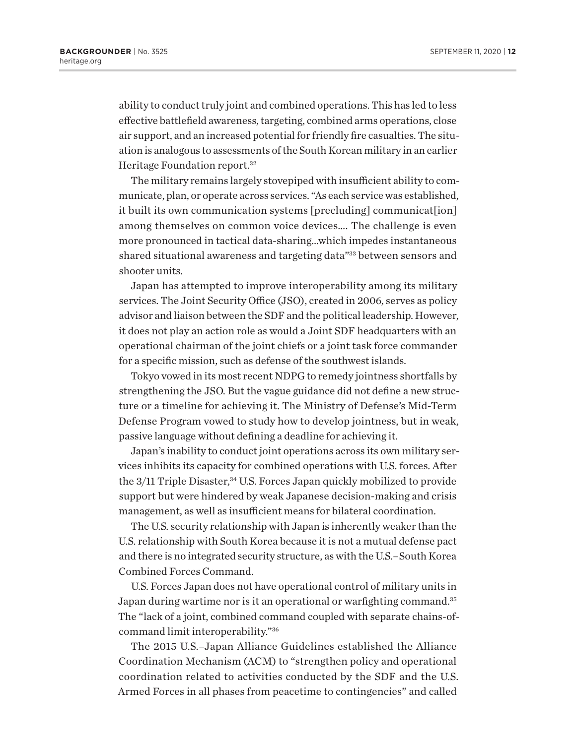ability to conduct truly joint and combined operations. This has led to less effective battlefield awareness, targeting, combined arms operations, close air support, and an increased potential for friendly fire casualties. The situation is analogous to assessments of the South Korean military in an earlier Heritage Foundation report.<sup>32</sup>

The military remains largely stovepiped with insufficient ability to communicate, plan, or operate across services. "As each service was established, it built its own communication systems [precluding] communicat[ion] among themselves on common voice devices…. The challenge is even more pronounced in tactical data-sharing…which impedes instantaneous shared situational awareness and targeting data"33 between sensors and shooter units.

Japan has attempted to improve interoperability among its military services. The Joint Security Office (JSO), created in 2006, serves as policy advisor and liaison between the SDF and the political leadership. However, it does not play an action role as would a Joint SDF headquarters with an operational chairman of the joint chiefs or a joint task force commander for a specific mission, such as defense of the southwest islands.

Tokyo vowed in its most recent NDPG to remedy jointness shortfalls by strengthening the JSO. But the vague guidance did not define a new structure or a timeline for achieving it. The Ministry of Defense's Mid-Term Defense Program vowed to study how to develop jointness, but in weak, passive language without defining a deadline for achieving it.

Japan's inability to conduct joint operations across its own military services inhibits its capacity for combined operations with U.S. forces. After the 3/11 Triple Disaster,<sup>34</sup> U.S. Forces Japan quickly mobilized to provide support but were hindered by weak Japanese decision-making and crisis management, as well as insufficient means for bilateral coordination.

The U.S. security relationship with Japan is inherently weaker than the U.S. relationship with South Korea because it is not a mutual defense pact and there is no integrated security structure, as with the U.S.–South Korea Combined Forces Command.

U.S. Forces Japan does not have operational control of military units in Japan during wartime nor is it an operational or warfighting command.<sup>35</sup> The "lack of a joint, combined command coupled with separate chains-ofcommand limit interoperability."36

The 2015 U.S.–Japan Alliance Guidelines established the Alliance Coordination Mechanism (ACM) to "strengthen policy and operational coordination related to activities conducted by the SDF and the U.S. Armed Forces in all phases from peacetime to contingencies" and called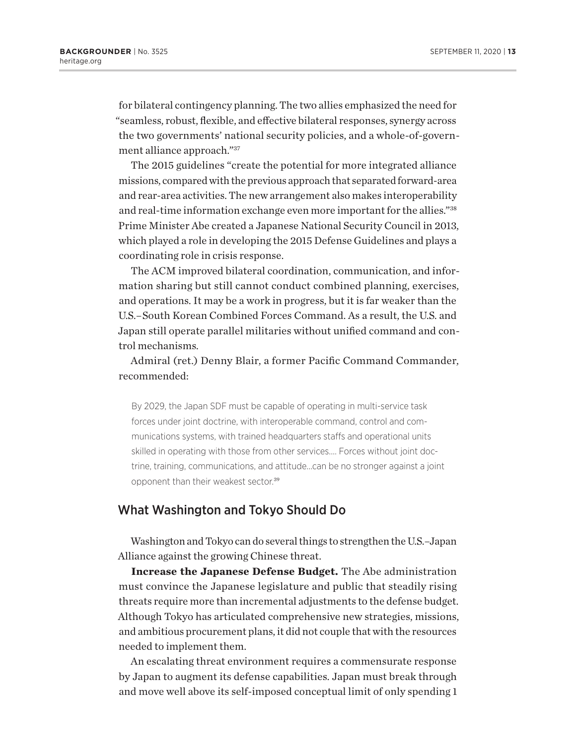for bilateral contingency planning. The two allies emphasized the need for "seamless, robust, flexible, and effective bilateral responses, synergy across the two governments' national security policies, and a whole-of-government alliance approach."37

The 2015 guidelines "create the potential for more integrated alliance missions, compared with the previous approach that separated forward-area and rear-area activities. The new arrangement also makes interoperability and real-time information exchange even more important for the allies."38 Prime Minister Abe created a Japanese National Security Council in 2013, which played a role in developing the 2015 Defense Guidelines and plays a coordinating role in crisis response.

The ACM improved bilateral coordination, communication, and information sharing but still cannot conduct combined planning, exercises, and operations. It may be a work in progress, but it is far weaker than the U.S.–South Korean Combined Forces Command. As a result, the U.S. and Japan still operate parallel militaries without unified command and control mechanisms.

Admiral (ret.) Denny Blair, a former Pacific Command Commander, recommended:

By 2029, the Japan SDF must be capable of operating in multi-service task forces under joint doctrine, with interoperable command, control and communications systems, with trained headquarters staffs and operational units skilled in operating with those from other services.… Forces without joint doctrine, training, communications, and attitude…can be no stronger against a joint opponent than their weakest sector.<sup>39</sup>

## What Washington and Tokyo Should Do

Washington and Tokyo can do several things to strengthen the U.S.–Japan Alliance against the growing Chinese threat.

**Increase the Japanese Defense Budget.** The Abe administration must convince the Japanese legislature and public that steadily rising threats require more than incremental adjustments to the defense budget. Although Tokyo has articulated comprehensive new strategies, missions, and ambitious procurement plans, it did not couple that with the resources needed to implement them.

An escalating threat environment requires a commensurate response by Japan to augment its defense capabilities. Japan must break through and move well above its self-imposed conceptual limit of only spending 1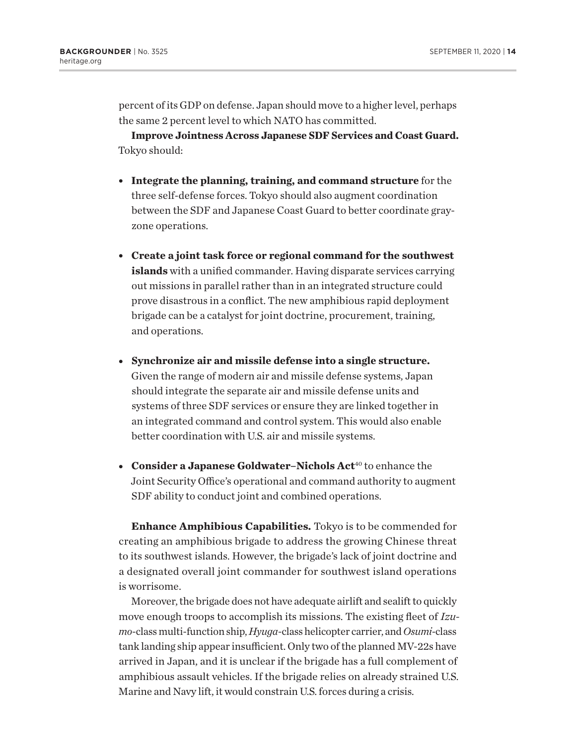percent of its GDP on defense. Japan should move to a higher level, perhaps the same 2 percent level to which NATO has committed.

**Improve Jointness Across Japanese SDF Services and Coast Guard.**  Tokyo should:

- **Integrate the planning, training, and command structure** for the three self-defense forces. Tokyo should also augment coordination between the SDF and Japanese Coast Guard to better coordinate grayzone operations.
- <sup>l</sup> **Create a joint task force or regional command for the southwest islands** with a unified commander. Having disparate services carrying out missions in parallel rather than in an integrated structure could prove disastrous in a conflict. The new amphibious rapid deployment brigade can be a catalyst for joint doctrine, procurement, training, and operations.
- <sup>l</sup> **Synchronize air and missile defense into a single structure.** Given the range of modern air and missile defense systems, Japan should integrate the separate air and missile defense units and systems of three SDF services or ensure they are linked together in an integrated command and control system. This would also enable better coordination with U.S. air and missile systems.
- **Consider a Japanese Goldwater–Nichols Act<sup>40</sup> to enhance the** Joint Security Office's operational and command authority to augment SDF ability to conduct joint and combined operations.

**Enhance Amphibious Capabilities.** Tokyo is to be commended for creating an amphibious brigade to address the growing Chinese threat to its southwest islands. However, the brigade's lack of joint doctrine and a designated overall joint commander for southwest island operations is worrisome.

Moreover, the brigade does not have adequate airlift and sealift to quickly move enough troops to accomplish its missions. The existing fleet of *Izumo*-classmulti-function ship, *Hyuga*-class helicopter carrier, and *Osumi-*class tank landing ship appear insufficient. Only two of the planned MV-22s have arrived in Japan, and it is unclear if the brigade has a full complement of amphibious assault vehicles. If the brigade relies on already strained U.S. Marine and Navy lift, it would constrain U.S. forces during a crisis.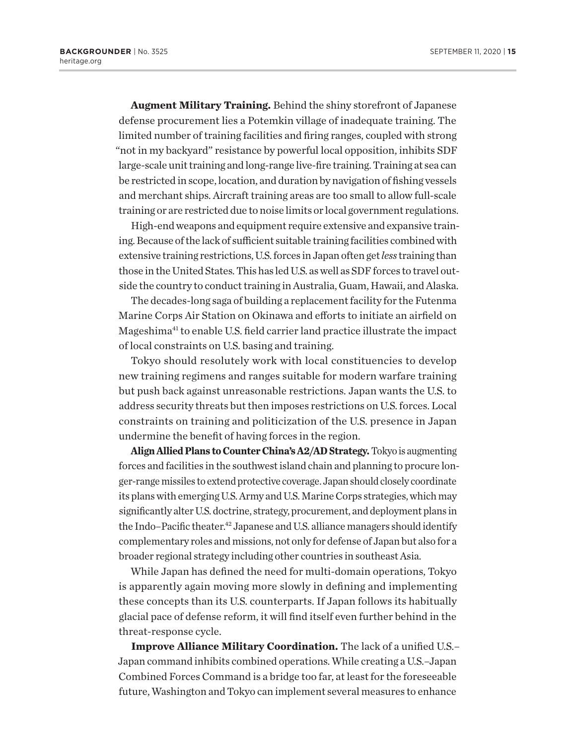**Augment Military Training.** Behind the shiny storefront of Japanese defense procurement lies a Potemkin village of inadequate training. The limited number of training facilities and firing ranges, coupled with strong "not in my backyard" resistance by powerful local opposition, inhibits SDF large-scale unit training and long-range live-fire training. Training at sea can be restricted in scope, location, and duration by navigation of fishing vessels and merchant ships. Aircraft training areas are too small to allow full-scale training or are restricted due to noise limits or local government regulations.

High-end weapons and equipment require extensive and expansive training. Because of the lack of sufficient suitable training facilities combined with extensive training restrictions, U.S. forces in Japan often get *less* training than those in the United States. This has led U.S. as well as SDF forces to travel outside the country to conduct training in Australia, Guam, Hawaii, and Alaska.

The decades-long saga of building a replacement facility for the Futenma Marine Corps Air Station on Okinawa and efforts to initiate an airfield on Mageshima<sup>41</sup> to enable U.S. field carrier land practice illustrate the impact of local constraints on U.S. basing and training.

Tokyo should resolutely work with local constituencies to develop new training regimens and ranges suitable for modern warfare training but push back against unreasonable restrictions. Japan wants the U.S. to address security threats but then imposes restrictions on U.S. forces. Local constraints on training and politicization of the U.S. presence in Japan undermine the benefit of having forces in the region.

**Align Allied Plans to Counter China's A2/AD Strategy.** Tokyo is augmenting forces and facilities in the southwest island chain and planning to procure longer-range missiles to extend protective coverage. Japan should closely coordinate its plans with emerging U.S. Army and U.S. Marine Corps strategies, which may significantly alter U.S. doctrine, strategy, procurement, and deployment plans in the Indo–Pacific theater.<sup>42</sup> Japanese and U.S. alliance managers should identify complementary roles and missions, not only for defense of Japan but also for a broader regional strategy including other countries in southeast Asia.

While Japan has defined the need for multi-domain operations, Tokyo is apparently again moving more slowly in defining and implementing these concepts than its U.S. counterparts. If Japan follows its habitually glacial pace of defense reform, it will find itself even further behind in the threat-response cycle.

**Improve Alliance Military Coordination.** The lack of a unified U.S.– Japan command inhibits combined operations. While creating a U.S.–Japan Combined Forces Command is a bridge too far, at least for the foreseeable future, Washington and Tokyo can implement several measures to enhance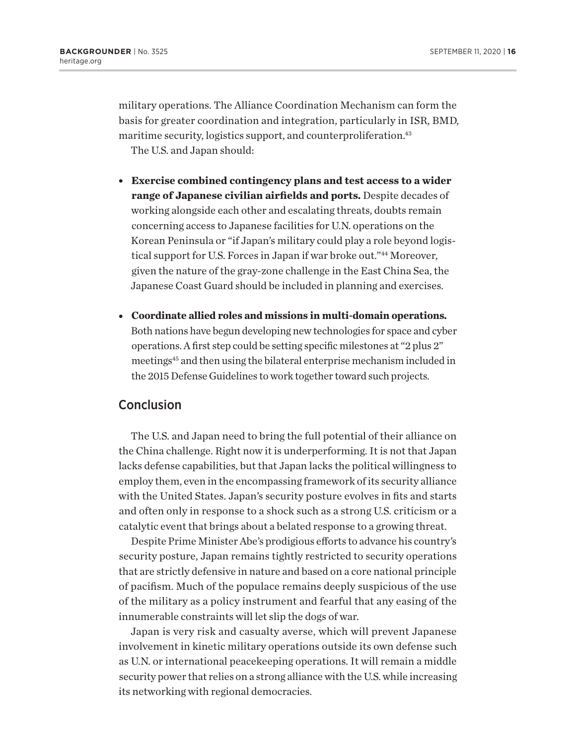military operations. The Alliance Coordination Mechanism can form the basis for greater coordination and integration, particularly in ISR, BMD, maritime security, logistics support, and counterproliferation.<sup>43</sup>

The U.S. and Japan should:

- <sup>l</sup> **Exercise combined contingency plans and test access to a wider range of Japanese civilian airfields and ports.** Despite decades of working alongside each other and escalating threats, doubts remain concerning access to Japanese facilities for U.N. operations on the Korean Peninsula or "if Japan's military could play a role beyond logistical support for U.S. Forces in Japan if war broke out."44 Moreover, given the nature of the gray-zone challenge in the East China Sea, the Japanese Coast Guard should be included in planning and exercises.
- <sup>l</sup> **Coordinate allied roles and missions in multi-domain operations.** Both nations have begun developing new technologies for space and cyber operations. A first step could be setting specific milestones at "2 plus 2" meetings45 and then using the bilateral enterprise mechanism included in the 2015 Defense Guidelines to work together toward such projects.

## Conclusion

The U.S. and Japan need to bring the full potential of their alliance on the China challenge. Right now it is underperforming. It is not that Japan lacks defense capabilities, but that Japan lacks the political willingness to employ them, even in the encompassing framework of its security alliance with the United States. Japan's security posture evolves in fits and starts and often only in response to a shock such as a strong U.S. criticism or a catalytic event that brings about a belated response to a growing threat.

Despite Prime Minister Abe's prodigious efforts to advance his country's security posture, Japan remains tightly restricted to security operations that are strictly defensive in nature and based on a core national principle of pacifism. Much of the populace remains deeply suspicious of the use of the military as a policy instrument and fearful that any easing of the innumerable constraints will let slip the dogs of war.

Japan is very risk and casualty averse, which will prevent Japanese involvement in kinetic military operations outside its own defense such as U.N. or international peacekeeping operations. It will remain a middle security power that relies on a strong alliance with the U.S. while increasing its networking with regional democracies.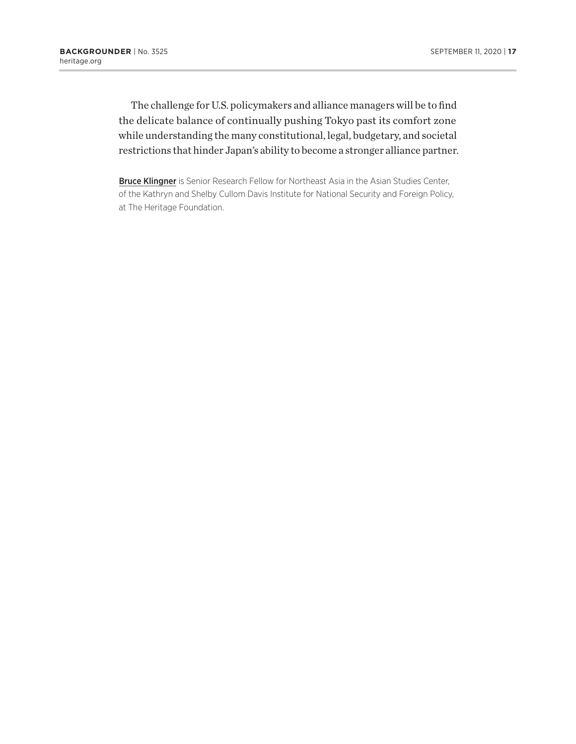The challenge for U.S. policymakers and alliance managers will be to find the delicate balance of continually pushing Tokyo past its comfort zone while understanding the many constitutional, legal, budgetary, and societal restrictions that hinder Japan's ability to become a stronger alliance partner.

**Bruce Klingner** is Senior Research Fellow for Northeast Asia in the Asian Studies Center, of the Kathryn and Shelby Cullom Davis Institute for National Security and Foreign Policy, at The Heritage Foundation.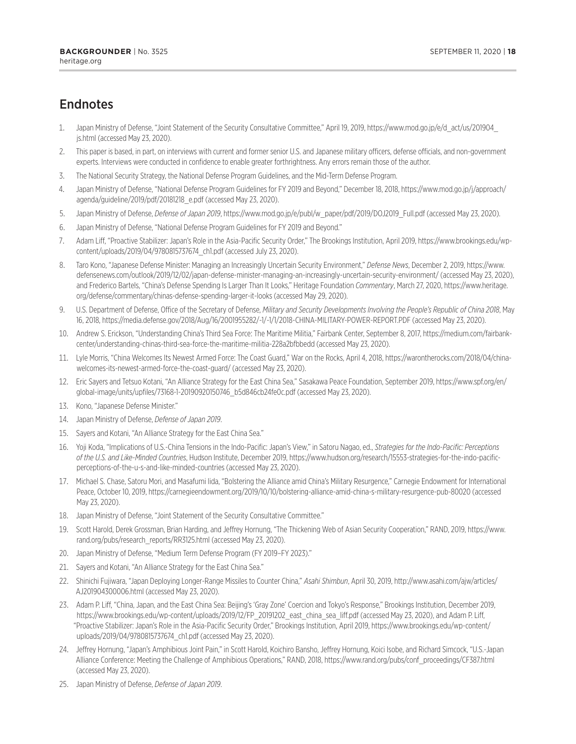# Endnotes

- 1. Japan Ministry of Defense, "Joint Statement of the Security Consultative Committee," April 19, 2019, https://www.mod.go.jp/e/d\_act/us/201904\_ js.html (accessed May 23, 2020).
- 2. This paper is based, in part, on interviews with current and former senior U.S. and Japanese military officers, defense officials, and non-government experts. Interviews were conducted in confidence to enable greater forthrightness. Any errors remain those of the author.
- 3. The National Security Strategy, the National Defense Program Guidelines, and the Mid-Term Defense Program.
- 4. Japan Ministry of Defense, "National Defense Program Guidelines for FY 2019 and Beyond," December 18, 2018, https://www.mod.go.jp/j/approach/ agenda/guideline/2019/pdf/20181218\_e.pdf (accessed May 23, 2020).
- 5. Japan Ministry of Defense, *Defense of Japan 2019*, https://www.mod.go.jp/e/publ/w\_paper/pdf/2019/DOJ2019\_Full.pdf (accessed May 23, 2020).
- 6. Japan Ministry of Defense, "National Defense Program Guidelines for FY 2019 and Beyond."
- 7. Adam Liff, "Proactive Stabilizer: Japan's Role in the Asia-Pacific Security Order," The Brookings Institution, April 2019, https://www.brookings.edu/wpcontent/uploads/2019/04/9780815737674\_ch1.pdf (accessed July 23, 2020).
- 8. Taro Kono, "Japanese Defense Minister: Managing an Increasingly Uncertain Security Environment," *Defense News*, December 2, 2019, https://www. defensenews.com/outlook/2019/12/02/japan-defense-minister-managing-an-increasingly-uncertain-security-environment/ (accessed May 23, 2020), and Frederico Bartels, "China's Defense Spending Is Larger Than It Looks," Heritage Foundation *Commentary*, March 27, 2020, https://www.heritage. org/defense/commentary/chinas-defense-spending-larger-it-looks (accessed May 29, 2020).
- 9. U.S. Department of Defense, Office of the Secretary of Defense, *Military and Security Developments Involving the People's Republic of China 2018*, May 16, 2018, https://media.defense.gov/2018/Aug/16/2001955282/-1/-1/1/2018-CHINA-MILITARY-POWER-REPORT.PDF (accessed May 23, 2020).
- 10. Andrew S. Erickson, "Understanding China's Third Sea Force: The Maritime Militia," Fairbank Center, September 8, 2017, https://medium.com/fairbankcenter/understanding-chinas-third-sea-force-the-maritime-militia-228a2bfbbedd (accessed May 23, 2020).
- 11. Lyle Morris, "China Welcomes Its Newest Armed Force: The Coast Guard," War on the Rocks, April 4, 2018, https://warontherocks.com/2018/04/chinawelcomes-its-newest-armed-force-the-coast-guard/ (accessed May 23, 2020).
- 12. Eric Sayers and Tetsuo Kotani, "An Alliance Strategy for the East China Sea," Sasakawa Peace Foundation, September 2019, https://www.spf.org/en/ global-image/units/upfiles/73168-1-20190920150746\_b5d846cb24fe0c.pdf (accessed May 23, 2020).
- 13. Kono, "Japanese Defense Minister."
- 14. Japan Ministry of Defense, *Defense of Japan 2019*.
- 15. Sayers and Kotani, "An Alliance Strategy for the East China Sea."
- 16. Yoji Koda, "Implications of U.S.-China Tensions in the Indo-Pacific: Japan's View," in Satoru Nagao, ed., *Strategies for the Indo-Pacific: Perceptions of the U.S. and Like-Minded Countries*, Hudson Institute, December 2019, https://www.hudson.org/research/15553-strategies-for-the-indo-pacificperceptions-of-the-u-s-and-like-minded-countries (accessed May 23, 2020).
- 17. Michael S. Chase, Satoru Mori, and Masafumi Iida, "Bolstering the Alliance amid China's Military Resurgence," Carnegie Endowment for International Peace, October 10, 2019, https://carnegieendowment.org/2019/10/10/bolstering-alliance-amid-china-s-military-resurgence-pub-80020 (accessed May 23, 2020).
- 18. Japan Ministry of Defense, "Joint Statement of the Security Consultative Committee."
- 19. Scott Harold, Derek Grossman, Brian Harding, and Jeffrey Hornung, "The Thickening Web of Asian Security Cooperation," RAND, 2019, https://www. rand.org/pubs/research\_reports/RR3125.html (accessed May 23, 2020).
- 20. Japan Ministry of Defense, "Medium Term Defense Program (FY 2019–FY 2023)."
- 21. Sayers and Kotani, "An Alliance Strategy for the East China Sea."
- 22. Shinichi Fujiwara, "Japan Deploying Longer-Range Missiles to Counter China," *Asahi Shimbun*, April 30, 2019, http://www.asahi.com/ajw/articles/ AJ201904300006.html (accessed May 23, 2020).
- 23. Adam P. Liff, "China, Japan, and the East China Sea: Beijing's 'Gray Zone' Coercion and Tokyo's Response," Brookings Institution, December 2019, https://www.brookings.edu/wp-content/uploads/2019/12/FP\_20191202\_east\_china\_sea\_liff.pdf (accessed May 23, 2020), and Adam P. Liff, "Proactive Stabilizer: Japan's Role in the Asia-Pacific Security Order," Brookings Institution, April 2019, https://www.brookings.edu/wp-content/ uploads/2019/04/9780815737674\_ch1.pdf (accessed May 23, 2020).
- 24. Jeffrey Hornung, "Japan's Amphibious Joint Pain," in Scott Harold, Koichiro Bansho, Jeffrey Hornung, Koici Isobe, and Richard Simcock, "U.S.-Japan Alliance Conference: Meeting the Challenge of Amphibious Operations," RAND, 2018, https://www.rand.org/pubs/conf\_proceedings/CF387.html (accessed May 23, 2020).
- 25. Japan Ministry of Defense, *Defense of Japan 2019*.